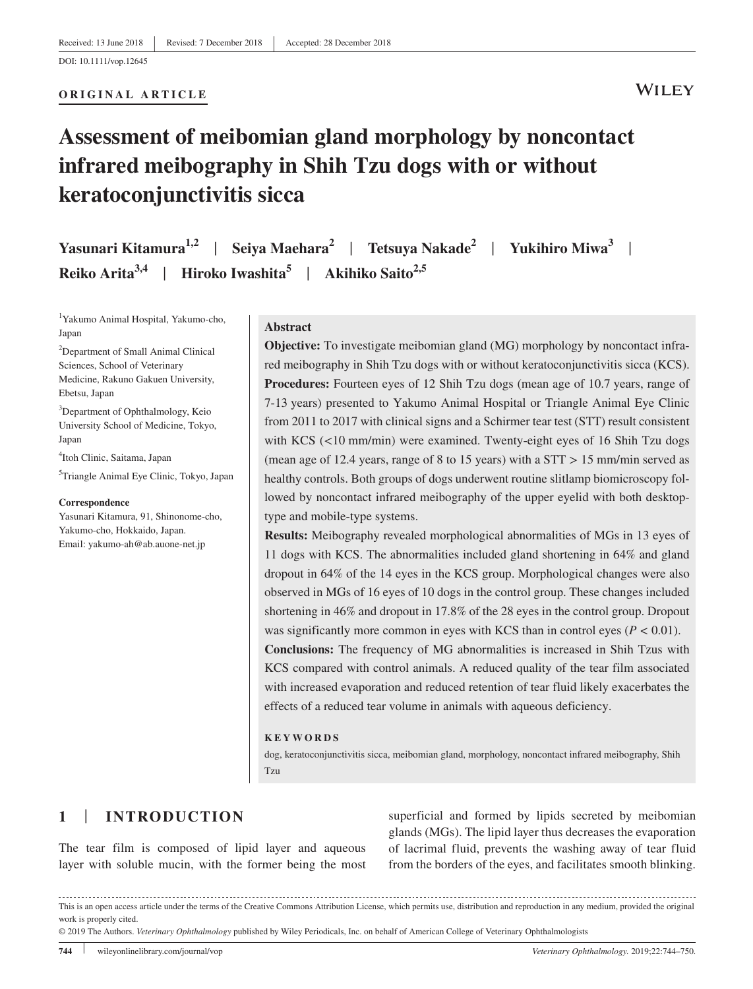## **ORIGINAL ARTICLE**

# **Assessment of meibomian gland morphology by noncontact infrared meibography in Shih Tzu dogs with or without keratoconjunctivitis sicca**

**Yasunari Kitamura1,2** | **Seiya Maehara<sup>2</sup>** | **Tetsuya Nakade2** | **Yukihiro Miwa3** | **Reiko Arita3,4** | **Hiroko Iwashita5** | **Akihiko Saito2,5**

1 Yakumo Animal Hospital, Yakumo‐cho, Japan

2 Department of Small Animal Clinical Sciences, School of Veterinary Medicine, Rakuno Gakuen University, Ebetsu, Japan

<sup>3</sup>Department of Ophthalmology, Keio University School of Medicine, Tokyo, Japan

4 Itoh Clinic, Saitama, Japan

5 Triangle Animal Eye Clinic, Tokyo, Japan

#### **Correspondence**

Yasunari Kitamura, 91, Shinonome-cho, Yakumo-cho, Hokkaido, Japan. Email: [yakumo-ah@ab.auone-net.jp](mailto:yakumo-ah@ab.auone-net.jp)

#### **Abstract**

**Objective:** To investigate meibomian gland (MG) morphology by noncontact infrared meibography in Shih Tzu dogs with or without keratoconjunctivitis sicca (KCS). **Procedures:** Fourteen eyes of 12 Shih Tzu dogs (mean age of 10.7 years, range of 7‐13 years) presented to Yakumo Animal Hospital or Triangle Animal Eye Clinic from 2011 to 2017 with clinical signs and a Schirmer tear test (STT) result consistent with KCS (<10 mm/min) were examined. Twenty-eight eyes of 16 Shih Tzu dogs (mean age of 12.4 years, range of 8 to 15 years) with a STT > 15 mm/min served as healthy controls. Both groups of dogs underwent routine slitlamp biomicroscopy followed by noncontact infrared meibography of the upper eyelid with both desktoptype and mobile‐type systems.

**Results:** Meibography revealed morphological abnormalities of MGs in 13 eyes of 11 dogs with KCS. The abnormalities included gland shortening in 64% and gland dropout in 64% of the 14 eyes in the KCS group. Morphological changes were also observed in MGs of 16 eyes of 10 dogs in the control group. These changes included shortening in 46% and dropout in 17.8% of the 28 eyes in the control group. Dropout was significantly more common in eyes with KCS than in control eyes (*P <* 0.01). **Conclusions:** The frequency of MG abnormalities is increased in Shih Tzus with KCS compared with control animals. A reduced quality of the tear film associated with increased evaporation and reduced retention of tear fluid likely exacerbates the effects of a reduced tear volume in animals with aqueous deficiency.

#### **KEYWORDS**

dog, keratoconjunctivitis sicca, meibomian gland, morphology, noncontact infrared meibography, Shih Tzu

## **1** | **INTRODUCTION**

The tear film is composed of lipid layer and aqueous layer with soluble mucin, with the former being the most

superficial and formed by lipids secreted by meibomian glands (MGs). The lipid layer thus decreases the evaporation of lacrimal fluid, prevents the washing away of tear fluid from the borders of the eyes, and facilitates smooth blinking.

This is an open access article under the terms of the [Creative Commons Attribution](http://creativecommons.org/licenses/by/4.0/) License, which permits use, distribution and reproduction in any medium, provided the original work is properly cited.

<sup>© 2019</sup> The Authors. *Veterinary Ophthalmology* published by Wiley Periodicals, Inc. on behalf of American College of Veterinary Ophthalmologists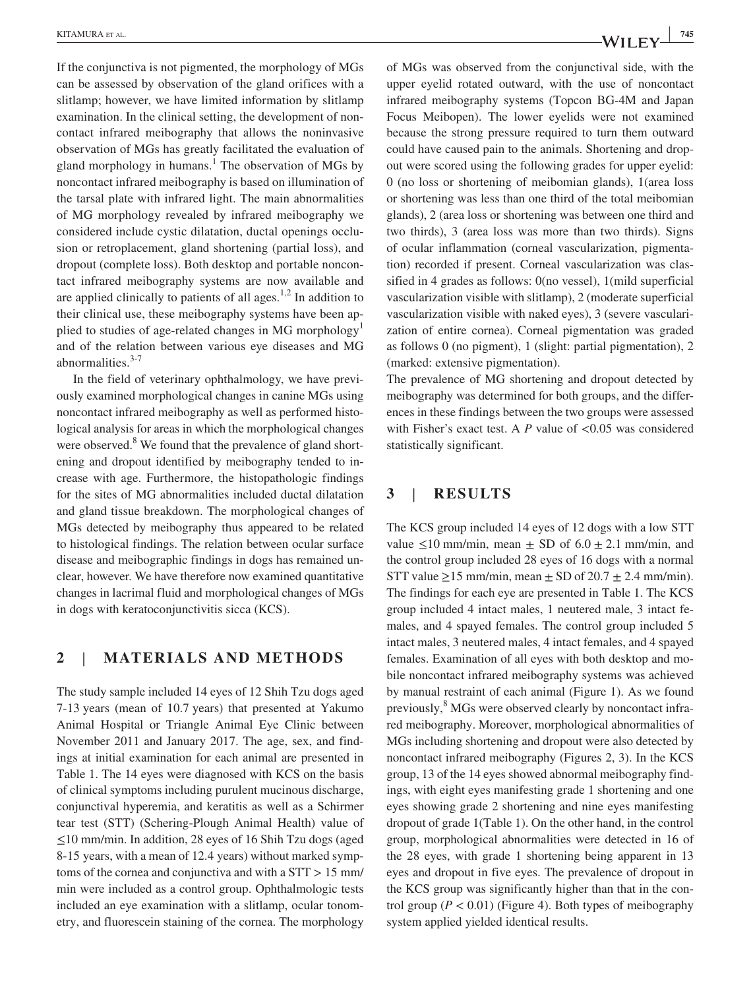If the conjunctiva is not pigmented, the morphology of MGs can be assessed by observation of the gland orifices with a slitlamp; however, we have limited information by slitlamp examination. In the clinical setting, the development of noncontact infrared meibography that allows the noninvasive observation of MGs has greatly facilitated the evaluation of gland morphology in humans.<sup>1</sup> The observation of MGs by noncontact infrared meibography is based on illumination of the tarsal plate with infrared light. The main abnormalities of MG morphology revealed by infrared meibography we considered include cystic dilatation, ductal openings occlusion or retroplacement, gland shortening (partial loss), and dropout (complete loss). Both desktop and portable noncontact infrared meibography systems are now available and are applied clinically to patients of all ages.<sup>1,2</sup> In addition to their clinical use, these meibography systems have been applied to studies of age-related changes in MG morphology<sup>1</sup> and of the relation between various eye diseases and MG abnormalities. $3-7$ 

In the field of veterinary ophthalmology, we have previously examined morphological changes in canine MGs using noncontact infrared meibography as well as performed histological analysis for areas in which the morphological changes were observed.<sup>8</sup> We found that the prevalence of gland shortening and dropout identified by meibography tended to increase with age. Furthermore, the histopathologic findings for the sites of MG abnormalities included ductal dilatation and gland tissue breakdown. The morphological changes of MGs detected by meibography thus appeared to be related to histological findings. The relation between ocular surface disease and meibographic findings in dogs has remained unclear, however. We have therefore now examined quantitative changes in lacrimal fluid and morphological changes of MGs in dogs with keratoconjunctivitis sicca (KCS).

## **2** | **MATERIALS AND METHODS**

The study sample included 14 eyes of 12 Shih Tzu dogs aged 7‐13 years (mean of 10.7 years) that presented at Yakumo Animal Hospital or Triangle Animal Eye Clinic between November 2011 and January 2017. The age, sex, and findings at initial examination for each animal are presented in Table 1. The 14 eyes were diagnosed with KCS on the basis of clinical symptoms including purulent mucinous discharge, conjunctival hyperemia, and keratitis as well as a Schirmer tear test (STT) (Schering‐Plough Animal Health) value of ≤10 mm/min. In addition, 28 eyes of 16 Shih Tzu dogs (aged 8‐15 years, with a mean of 12.4 years) without marked symptoms of the cornea and conjunctiva and with a STT > 15 mm/ min were included as a control group. Ophthalmologic tests included an eye examination with a slitlamp, ocular tonometry, and fluorescein staining of the cornea. The morphology of MGs was observed from the conjunctival side, with the upper eyelid rotated outward, with the use of noncontact infrared meibography systems (Topcon BG‐4M and Japan Focus Meibopen). The lower eyelids were not examined because the strong pressure required to turn them outward could have caused pain to the animals. Shortening and dropout were scored using the following grades for upper eyelid: 0 (no loss or shortening of meibomian glands), 1(area loss or shortening was less than one third of the total meibomian glands), 2 (area loss or shortening was between one third and two thirds), 3 (area loss was more than two thirds). Signs of ocular inflammation (corneal vascularization, pigmentation) recorded if present. Corneal vascularization was classified in 4 grades as follows: 0(no vessel), 1(mild superficial vascularization visible with slitlamp), 2 (moderate superficial vascularization visible with naked eyes), 3 (severe vascularization of entire cornea). Corneal pigmentation was graded as follows 0 (no pigment), 1 (slight: partial pigmentation), 2 (marked: extensive pigmentation).

The prevalence of MG shortening and dropout detected by meibography was determined for both groups, and the differences in these findings between the two groups were assessed with Fisher's exact test. A *P* value of <0.05 was considered statistically significant.

## **3** | **RESULTS**

The KCS group included 14 eyes of 12 dogs with a low STT value  $\leq 10$  mm/min, mean  $\pm$  SD of 6.0  $\pm$  2.1 mm/min, and the control group included 28 eyes of 16 dogs with a normal STT value  $\geq$ 15 mm/min, mean  $\pm$  SD of 20.7  $\pm$  2.4 mm/min). The findings for each eye are presented in Table 1. The KCS group included 4 intact males, 1 neutered male, 3 intact females, and 4 spayed females. The control group included 5 intact males, 3 neutered males, 4 intact females, and 4 spayed females. Examination of all eyes with both desktop and mobile noncontact infrared meibography systems was achieved by manual restraint of each animal (Figure 1). As we found previously, <sup>8</sup> MGs were observed clearly by noncontact infrared meibography. Moreover, morphological abnormalities of MGs including shortening and dropout were also detected by noncontact infrared meibography (Figures 2, 3). In the KCS group, 13 of the 14 eyes showed abnormal meibography findings, with eight eyes manifesting grade 1 shortening and one eyes showing grade 2 shortening and nine eyes manifesting dropout of grade 1(Table 1). On the other hand, in the control group, morphological abnormalities were detected in 16 of the 28 eyes, with grade 1 shortening being apparent in 13 eyes and dropout in five eyes. The prevalence of dropout in the KCS group was significantly higher than that in the control group ( $P < 0.01$ ) (Figure 4). Both types of meibography system applied yielded identical results.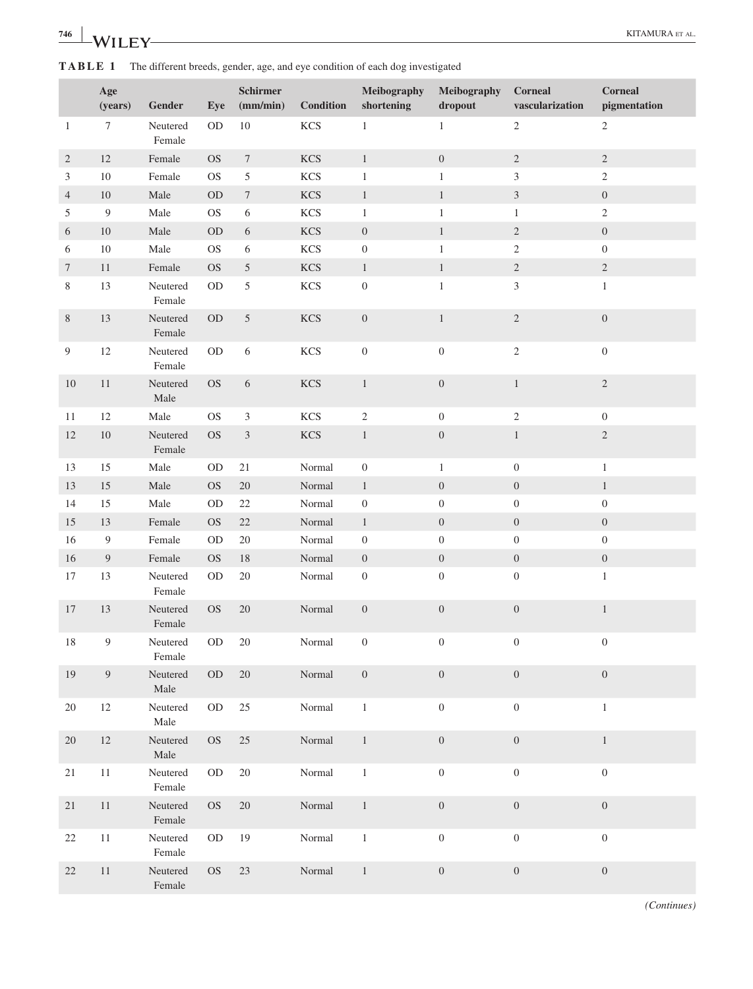| 746<br>$\mathbf{M}$<br>- | $\mathbf{R}$<br>$A$ $V$ $I$ $I$ |  |
|--------------------------|---------------------------------|--|
|                          |                                 |  |

**TABLE 1** The different breeds, gender, age, and eye condition of each dog investigated

|                  | Age<br>(years)   | Gender                 | Eye       | <b>Schirmer</b><br>(mm/min) | <b>Condition</b> | Meibography<br>shortening | Meibography<br>dropout | <b>Corneal</b><br>vascularization | <b>Corneal</b><br>pigmentation |
|------------------|------------------|------------------------|-----------|-----------------------------|------------------|---------------------------|------------------------|-----------------------------------|--------------------------------|
| $\mathbf{1}$     | $\boldsymbol{7}$ | Neutered<br>Female     | $OD$      | $10\,$                      | <b>KCS</b>       | $\,1$                     | $\mathbf{1}$           | $\sqrt{2}$                        | $\overline{c}$                 |
| $\sqrt{2}$       | $12\,$           | Female                 | <b>OS</b> | $\boldsymbol{7}$            | <b>KCS</b>       | $\mathbf{1}$              | $\boldsymbol{0}$       | $\sqrt{2}$                        | $\sqrt{2}$                     |
| $\mathfrak{Z}$   | $10\,$           | Female                 | <b>OS</b> | $\sqrt{5}$                  | <b>KCS</b>       | $\mathbf{1}$              | $\mathbf{1}$           | $\mathfrak{Z}$                    | $\overline{c}$                 |
| $\overline{4}$   | 10               | Male                   | $\rm OD$  | $\boldsymbol{7}$            | <b>KCS</b>       | $\,1$                     | $1\,$                  | $\sqrt{3}$                        | $\boldsymbol{0}$               |
| 5                | $\overline{9}$   | Male                   | <b>OS</b> | $\sqrt{6}$                  | KCS              | $\,1$                     | $\mathbf{1}$           | $\mathbf{1}$                      | $\sqrt{2}$                     |
| 6                | $10\,$           | $\rm Male$             | OD        | $\sqrt{6}$                  | KCS              | $\boldsymbol{0}$          | $1\,$                  | $\sqrt{2}$                        | $\boldsymbol{0}$               |
| 6                | $10\,$           | Male                   | <b>OS</b> | $\sqrt{6}$                  | KCS              | $\boldsymbol{0}$          | $\mathbf{1}$           | $\sqrt{2}$                        | $\boldsymbol{0}$               |
| $\tau$           | $11\,$           | Female                 | <b>OS</b> | $\sqrt{5}$                  | <b>KCS</b>       | $\,1$                     | $\mathbf{1}$           | $\sqrt{2}$                        | $\sqrt{2}$                     |
| $8\,$            | 13               | Neutered<br>Female     | $OD$      | $\sqrt{5}$                  | KCS              | $\boldsymbol{0}$          | $\mathbf{1}$           | $\mathfrak{Z}$                    | $\mathbf{1}$                   |
| $\, 8$           | 13               | Neutered<br>Female     | $\rm OD$  | $\sqrt{5}$                  | <b>KCS</b>       | $\boldsymbol{0}$          | $\mathbf{1}$           | $\sqrt{2}$                        | $\boldsymbol{0}$               |
| $\boldsymbol{9}$ | $12\,$           | Neutered<br>Female     | $OD$      | $\sqrt{6}$                  | KCS              | $\boldsymbol{0}$          | $\boldsymbol{0}$       | $\sqrt{2}$                        | $\boldsymbol{0}$               |
| $10\,$           | $11\,$           | Neutered<br>$\rm Male$ | $\rm OS$  | $\sqrt{6}$                  | $\rm KCS$        | $\,1\,$                   | $\boldsymbol{0}$       | $\mathbf{1}$                      | $\sqrt{2}$                     |
| 11               | $12\,$           | $\rm Male$             | <b>OS</b> | $\mathfrak{Z}$              | <b>KCS</b>       | $\sqrt{2}$                | $\boldsymbol{0}$       | $\sqrt{2}$                        | $\boldsymbol{0}$               |
| $12\,$           | 10               | Neutered<br>Female     | <b>OS</b> | $\mathfrak{Z}$              | <b>KCS</b>       | $\,1$                     | $\boldsymbol{0}$       | $\,1\,$                           | $\sqrt{2}$                     |
| 13               | 15               | Male                   | <b>OD</b> | 21                          | Normal           | $\boldsymbol{0}$          | $\mathbf{1}$           | $\boldsymbol{0}$                  | $\mathbf{1}$                   |
| 13               | $15\,$           | $\rm Male$             | <b>OS</b> | $20\,$                      | Normal           | $\,1$                     | $\boldsymbol{0}$       | $\boldsymbol{0}$                  | $\,1$                          |
| 14               | 15               | Male                   | $OD$      | $22\,$                      | Normal           | $\boldsymbol{0}$          | $\boldsymbol{0}$       | $\boldsymbol{0}$                  | $\boldsymbol{0}$               |
| 15               | 13               | Female                 | <b>OS</b> | $22\,$                      | Normal           | $\mathbf{1}$              | $\boldsymbol{0}$       | $\boldsymbol{0}$                  | $\boldsymbol{0}$               |
| 16               | $\boldsymbol{9}$ | Female                 | <b>OD</b> | $20\,$                      | Normal           | $\boldsymbol{0}$          | $\boldsymbol{0}$       | $\boldsymbol{0}$                  | $\boldsymbol{0}$               |
| 16               | $\boldsymbol{9}$ | Female                 | <b>OS</b> | $18\,$                      | Normal           | $\boldsymbol{0}$          | $\boldsymbol{0}$       | $\boldsymbol{0}$                  | $\boldsymbol{0}$               |
| $17\,$           | 13               | Neutered<br>Female     | $\rm OD$  | $20\,$                      | $\mbox{Normal}$  | $\boldsymbol{0}$          | $\boldsymbol{0}$       | $\boldsymbol{0}$                  | $\,1$                          |
| 17               | 13               | Neutered<br>Female     | <b>OS</b> | $20\,$                      | Normal           | $\boldsymbol{0}$          | $\boldsymbol{0}$       | $\boldsymbol{0}$                  | $\,1$                          |
| $18\,$           | $\boldsymbol{9}$ | Neutered<br>Female     | $OD$      | $20\,$                      | Normal           | $\boldsymbol{0}$          | $\boldsymbol{0}$       | $\boldsymbol{0}$                  | $\boldsymbol{0}$               |
| 19               | $\boldsymbol{9}$ | Neutered<br>Male       | $\rm OD$  | $20\,$                      | Normal           | $\boldsymbol{0}$          | $\boldsymbol{0}$       | $\boldsymbol{0}$                  | $\boldsymbol{0}$               |
| 20               | 12               | Neutered<br>Male       | $\rm OD$  | $25\,$                      | Normal           | $\,1\,$                   | $\boldsymbol{0}$       | $\boldsymbol{0}$                  | $\mathbf{1}$                   |
| $20\,$           | $12\,$           | Neutered<br>Male       | $\rm OS$  | $25\,$                      | Normal           | $\,1$                     | $\boldsymbol{0}$       | $\boldsymbol{0}$                  | $\mathbf{1}$                   |
| 21               | $11\,$           | Neutered<br>Female     | <b>OD</b> | $20\,$                      | Normal           | $\,1$                     | $\boldsymbol{0}$       | $\boldsymbol{0}$                  | $\boldsymbol{0}$               |
| $21\,$           | $11\,$           | Neutered<br>Female     | <b>OS</b> | $20\,$                      | Normal           | $\,1$                     | $\boldsymbol{0}$       | $\boldsymbol{0}$                  | $\boldsymbol{0}$               |
| $22\,$           | $11\,$           | Neutered<br>Female     | $\rm OD$  | 19                          | Normal           | $\,1$                     | $\boldsymbol{0}$       | $\boldsymbol{0}$                  | $\boldsymbol{0}$               |
| $22\,$           | 11               | Neutered<br>Female     | $\rm OS$  | $23\,$                      | Normal           | $\mathbf{1}$              | $\boldsymbol{0}$       | $\boldsymbol{0}$                  | $\boldsymbol{0}$               |

*(Continues)*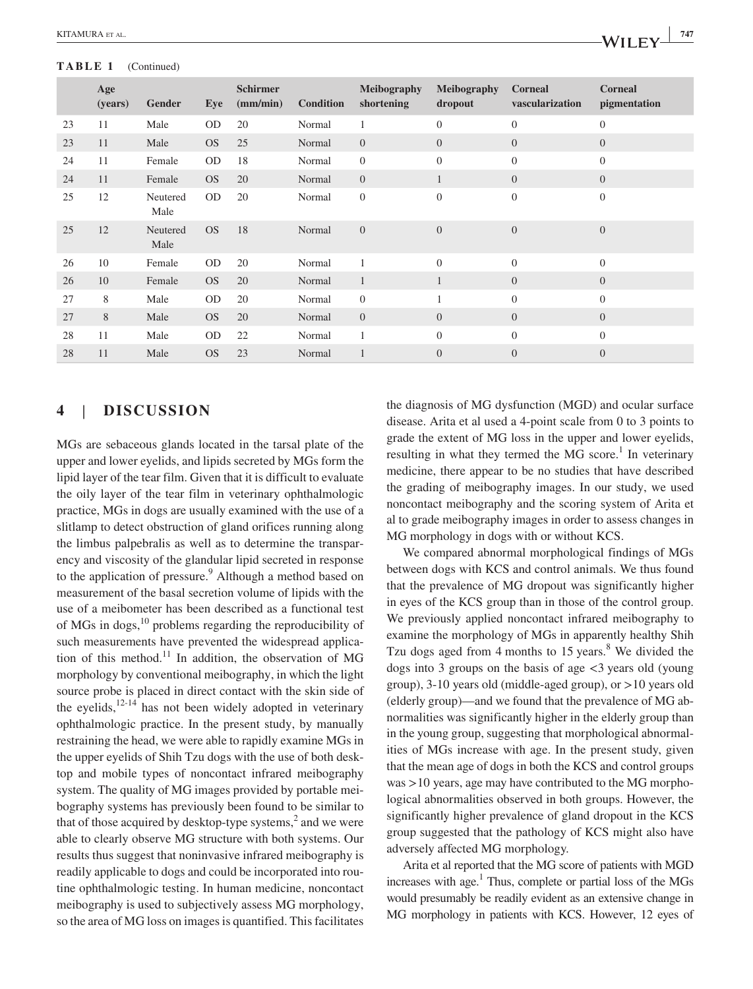### **TABLE 1** (Continued)

| $A$ <b>D</b> $E$ $I$ (Community) |                |                  |           |                             |                  |                                  |                               |                                   |                                |
|----------------------------------|----------------|------------------|-----------|-----------------------------|------------------|----------------------------------|-------------------------------|-----------------------------------|--------------------------------|
|                                  | Age<br>(years) | <b>Gender</b>    | Eye       | <b>Schirmer</b><br>(mm/min) | <b>Condition</b> | <b>Meibography</b><br>shortening | <b>Meibography</b><br>dropout | <b>Corneal</b><br>vascularization | <b>Corneal</b><br>pigmentation |
| 23                               | 11             | Male             | <b>OD</b> | 20                          | Normal           |                                  | $\theta$                      | $\overline{0}$                    | $\overline{0}$                 |
| 23                               | 11             | Male             | <b>OS</b> | 25                          | Normal           | $\mathbf{0}$                     | $\overline{0}$                | $\theta$                          | $\boldsymbol{0}$               |
| 24                               | 11             | Female           | <b>OD</b> | -18                         | Normal           | $\mathbf{0}$                     | $\theta$                      | $\overline{0}$                    | $\overline{0}$                 |
| 24                               | 11             | Female           | <b>OS</b> | 20                          | Normal           | $\mathbf{0}$                     |                               | $\theta$                          | $\boldsymbol{0}$               |
| 25                               | 12             | Neutered<br>Male | OD.       | 20                          | Normal           | $\mathbf{0}$                     | $\theta$                      | $\theta$                          | $\overline{0}$                 |
| 25                               | 12             | Neutered<br>Male | <b>OS</b> | -18                         | Normal           | $\overline{0}$                   | $\overline{0}$                | $\Omega$                          | $\overline{0}$                 |

26 10 Female OD 20 Normal 1 0 0 0 0 26 10 Female OS 20 Normal 1 1 0 0 0 27 8 Male OD 20 Normal 0 1 0 0 27 8 Male OS 20 Normal 0 0 0 0 0 0 28 11 Male OD 22 Normal 1 0 0 0 0 28 11 Male OS 23 Normal 1 0 0 0 0

## **4** | **DISCUSSION**

MGs are sebaceous glands located in the tarsal plate of the upper and lower eyelids, and lipids secreted by MGs form the lipid layer of the tear film. Given that it is difficult to evaluate the oily layer of the tear film in veterinary ophthalmologic practice, MGs in dogs are usually examined with the use of a slitlamp to detect obstruction of gland orifices running along the limbus palpebralis as well as to determine the transparency and viscosity of the glandular lipid secreted in response to the application of pressure.<sup>9</sup> Although a method based on measurement of the basal secretion volume of lipids with the use of a meibometer has been described as a functional test of MGs in dogs,<sup>10</sup> problems regarding the reproducibility of such measurements have prevented the widespread application of this method.<sup>11</sup> In addition, the observation of MG morphology by conventional meibography, in which the light source probe is placed in direct contact with the skin side of the eyelids, $12-14$  has not been widely adopted in veterinary ophthalmologic practice. In the present study, by manually restraining the head, we were able to rapidly examine MGs in the upper eyelids of Shih Tzu dogs with the use of both desktop and mobile types of noncontact infrared meibography system. The quality of MG images provided by portable meibography systems has previously been found to be similar to that of those acquired by desktop-type systems, $2$  and we were able to clearly observe MG structure with both systems. Our results thus suggest that noninvasive infrared meibography is readily applicable to dogs and could be incorporated into routine ophthalmologic testing. In human medicine, noncontact meibography is used to subjectively assess MG morphology, so the area of MG loss on images is quantified. This facilitates

the diagnosis of MG dysfunction (MGD) and ocular surface disease. Arita et al used a 4‐point scale from 0 to 3 points to grade the extent of MG loss in the upper and lower eyelids, resulting in what they termed the  $MG$  score.<sup>1</sup> In veterinary medicine, there appear to be no studies that have described the grading of meibography images. In our study, we used noncontact meibography and the scoring system of Arita et al to grade meibography images in order to assess changes in MG morphology in dogs with or without KCS.

We compared abnormal morphological findings of MGs between dogs with KCS and control animals. We thus found that the prevalence of MG dropout was significantly higher in eyes of the KCS group than in those of the control group. We previously applied noncontact infrared meibography to examine the morphology of MGs in apparently healthy Shih Tzu dogs aged from  $4$  months to 15 years.<sup>8</sup> We divided the dogs into 3 groups on the basis of age  $\lt$ 3 years old (young group), 3‐10 years old (middle‐aged group), or >10 years old (elderly group)—and we found that the prevalence of MG abnormalities was significantly higher in the elderly group than in the young group, suggesting that morphological abnormalities of MGs increase with age. In the present study, given that the mean age of dogs in both the KCS and control groups was >10 years, age may have contributed to the MG morphological abnormalities observed in both groups. However, the significantly higher prevalence of gland dropout in the KCS group suggested that the pathology of KCS might also have adversely affected MG morphology.

Arita et al reported that the MG score of patients with MGD increases with age.<sup>1</sup> Thus, complete or partial loss of the MGs would presumably be readily evident as an extensive change in MG morphology in patients with KCS. However, 12 eyes of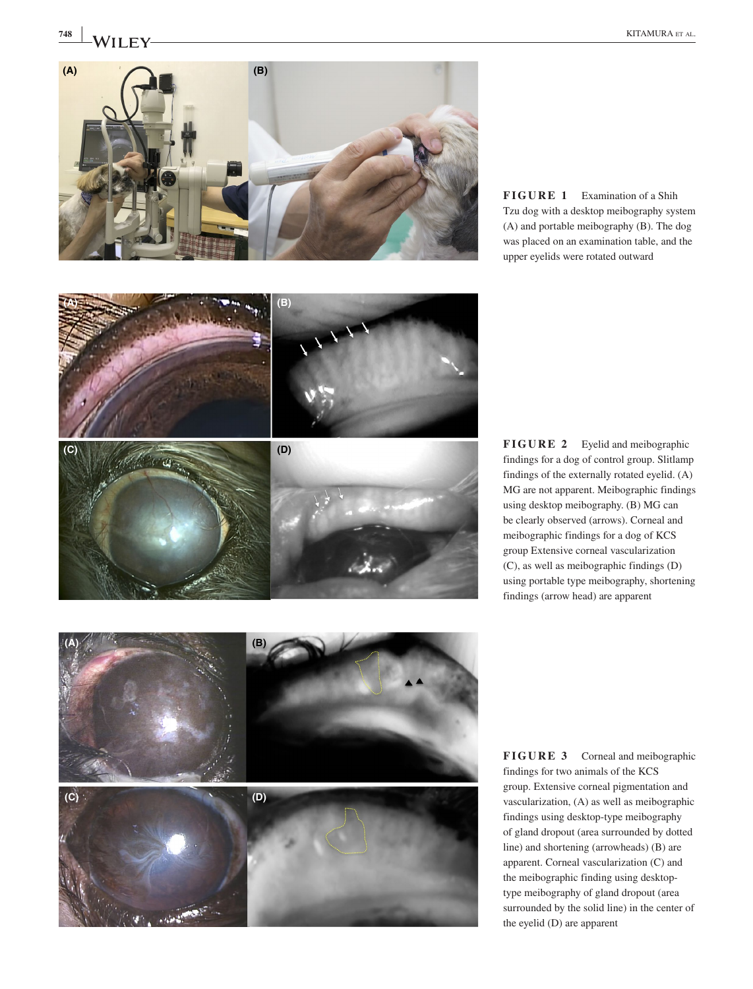

**FIGURE 1** Examination of a Shih Tzu dog with a desktop meibography system (A) and portable meibography (B). The dog was placed on an examination table, and the upper eyelids were rotated outward

**FIGURE 2** Eyelid and meibographic findings for a dog of control group. Slitlamp findings of the externally rotated eyelid. (A) MG are not apparent. Meibographic findings using desktop meibography. (B) MG can be clearly observed (arrows). Corneal and meibographic findings for a dog of KCS group Extensive corneal vascularization (C), as well as meibographic findings (D) using portable type meibography, shortening findings (arrow head) are apparent

**FIGURE 3** Corneal and meibographic findings for two animals of the KCS group. Extensive corneal pigmentation and vascularization, (A) as well as meibographic findings using desktop‐type meibography of gland dropout (area surrounded by dotted line) and shortening (arrowheads) (B) are apparent. Corneal vascularization (C) and the meibographic finding using desktop‐ type meibography of gland dropout (area surrounded by the solid line) in the center of the eyelid (D) are apparent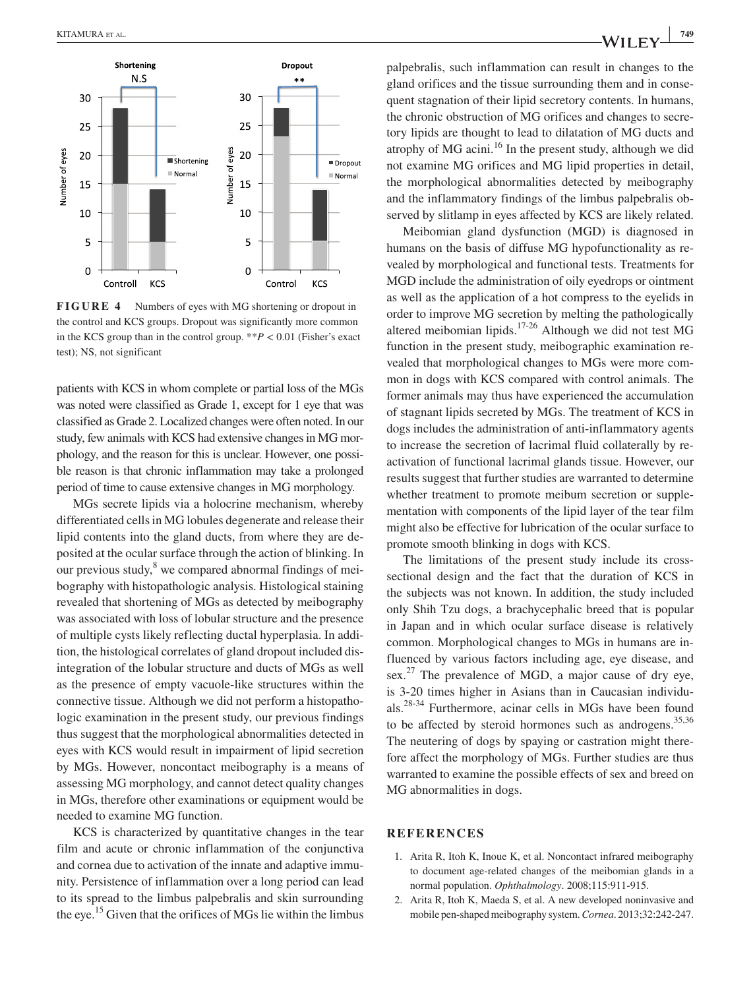

**FIGURE 4** Numbers of eyes with MG shortening or dropout in the control and KCS groups. Dropout was significantly more common in the KCS group than in the control group. \*\**P* < 0.01 (Fisher's exact test); NS, not significant

patients with KCS in whom complete or partial loss of the MGs was noted were classified as Grade 1, except for 1 eye that was classified as Grade 2. Localized changes were often noted. In our study, few animals with KCS had extensive changes in MG morphology, and the reason for this is unclear. However, one possible reason is that chronic inflammation may take a prolonged period of time to cause extensive changes in MG morphology.

MGs secrete lipids via a holocrine mechanism, whereby differentiated cells in MG lobules degenerate and release their lipid contents into the gland ducts, from where they are deposited at the ocular surface through the action of blinking. In our previous study, <sup>8</sup> we compared abnormal findings of meibography with histopathologic analysis. Histological staining revealed that shortening of MGs as detected by meibography was associated with loss of lobular structure and the presence of multiple cysts likely reflecting ductal hyperplasia. In addition, the histological correlates of gland dropout included disintegration of the lobular structure and ducts of MGs as well as the presence of empty vacuole‐like structures within the connective tissue. Although we did not perform a histopathologic examination in the present study, our previous findings thus suggest that the morphological abnormalities detected in eyes with KCS would result in impairment of lipid secretion by MGs. However, noncontact meibography is a means of assessing MG morphology, and cannot detect quality changes in MGs, therefore other examinations or equipment would be needed to examine MG function.

KCS is characterized by quantitative changes in the tear film and acute or chronic inflammation of the conjunctiva and cornea due to activation of the innate and adaptive immunity. Persistence of inflammation over a long period can lead to its spread to the limbus palpebralis and skin surrounding the eye.<sup>15</sup> Given that the orifices of MGs lie within the limbus palpebralis, such inflammation can result in changes to the gland orifices and the tissue surrounding them and in consequent stagnation of their lipid secretory contents. In humans, the chronic obstruction of MG orifices and changes to secretory lipids are thought to lead to dilatation of MG ducts and atrophy of MG acini.16 In the present study, although we did not examine MG orifices and MG lipid properties in detail, the morphological abnormalities detected by meibography

and the inflammatory findings of the limbus palpebralis ob-

served by slitlamp in eyes affected by KCS are likely related. Meibomian gland dysfunction (MGD) is diagnosed in humans on the basis of diffuse MG hypofunctionality as revealed by morphological and functional tests. Treatments for MGD include the administration of oily eyedrops or ointment as well as the application of a hot compress to the eyelids in order to improve MG secretion by melting the pathologically altered meibomian lipids.17-26 Although we did not test MG function in the present study, meibographic examination revealed that morphological changes to MGs were more common in dogs with KCS compared with control animals. The former animals may thus have experienced the accumulation of stagnant lipids secreted by MGs. The treatment of KCS in dogs includes the administration of anti‐inflammatory agents to increase the secretion of lacrimal fluid collaterally by reactivation of functional lacrimal glands tissue. However, our results suggest that further studies are warranted to determine whether treatment to promote meibum secretion or supplementation with components of the lipid layer of the tear film might also be effective for lubrication of the ocular surface to promote smooth blinking in dogs with KCS.

The limitations of the present study include its crosssectional design and the fact that the duration of KCS in the subjects was not known. In addition, the study included only Shih Tzu dogs, a brachycephalic breed that is popular in Japan and in which ocular surface disease is relatively common. Morphological changes to MGs in humans are influenced by various factors including age, eye disease, and sex.<sup>27</sup> The prevalence of MGD, a major cause of dry eye, is 3‐20 times higher in Asians than in Caucasian individuals.28-34 Furthermore, acinar cells in MGs have been found to be affected by steroid hormones such as androgens.<sup>35,36</sup> The neutering of dogs by spaying or castration might therefore affect the morphology of MGs. Further studies are thus warranted to examine the possible effects of sex and breed on MG abnormalities in dogs.

#### **REFERENCES**

- 1. Arita R, Itoh K, Inoue K, et al. Noncontact infrared meibography to document age‐related changes of the meibomian glands in a normal population. *Ophthalmology*. 2008;115:911‐915.
- 2. Arita R, Itoh K, Maeda S, et al. A new developed noninvasive and mobile pen‐shaped meibography system. *Cornea*. 2013;32:242‐247.